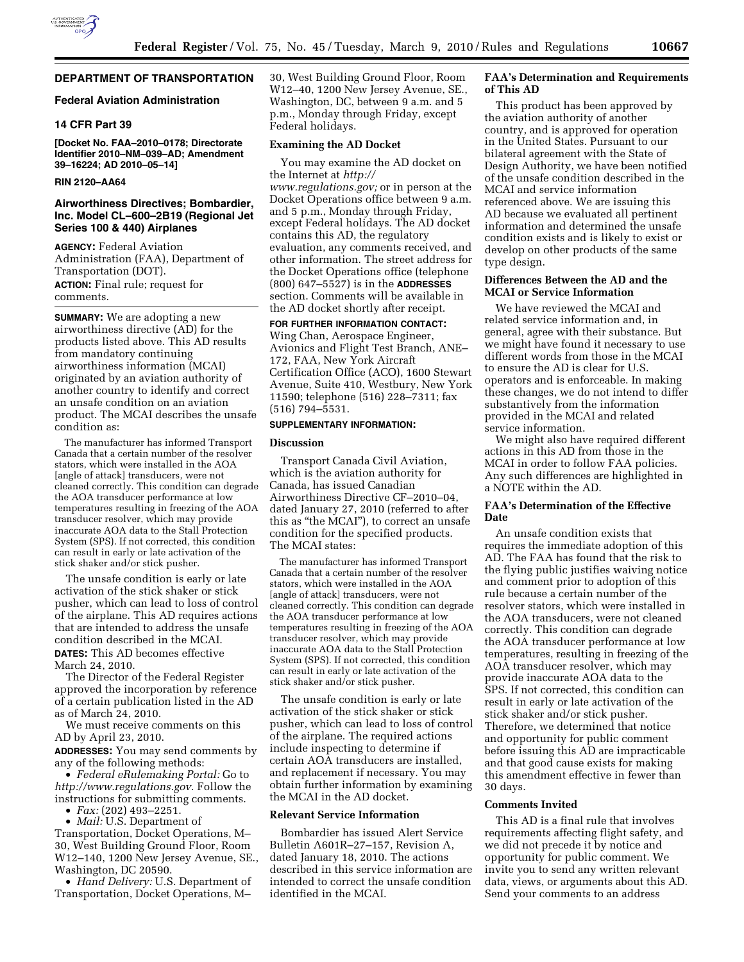

# **DEPARTMENT OF TRANSPORTATION**

### **Federal Aviation Administration**

### **14 CFR Part 39**

**[Docket No. FAA–2010–0178; Directorate Identifier 2010–NM–039–AD; Amendment 39–16224; AD 2010–05–14]** 

# **RIN 2120–AA64**

### **Airworthiness Directives; Bombardier, Inc. Model CL–600–2B19 (Regional Jet Series 100 & 440) Airplanes**

**AGENCY:** Federal Aviation Administration (FAA), Department of Transportation (DOT). **ACTION:** Final rule; request for comments.

**SUMMARY:** We are adopting a new airworthiness directive (AD) for the products listed above. This AD results from mandatory continuing airworthiness information (MCAI) originated by an aviation authority of another country to identify and correct an unsafe condition on an aviation product. The MCAI describes the unsafe condition as:

The manufacturer has informed Transport Canada that a certain number of the resolver stators, which were installed in the AOA [angle of attack] transducers, were not cleaned correctly. This condition can degrade the AOA transducer performance at low temperatures resulting in freezing of the AOA transducer resolver, which may provide inaccurate AOA data to the Stall Protection System (SPS). If not corrected, this condition can result in early or late activation of the stick shaker and/or stick pusher.

The unsafe condition is early or late activation of the stick shaker or stick pusher, which can lead to loss of control of the airplane. This AD requires actions that are intended to address the unsafe condition described in the MCAI. **DATES:** This AD becomes effective March 24, 2010.

The Director of the Federal Register approved the incorporation by reference of a certain publication listed in the AD as of March 24, 2010.

We must receive comments on this AD by April 23, 2010.

**ADDRESSES:** You may send comments by any of the following methods:

• *Federal eRulemaking Portal:* Go to *http://www.regulations.gov.* Follow the instructions for submitting comments.

• *Fax:* (202) 493–2251.

• *Mail:* U.S. Department of Transportation, Docket Operations, M– 30, West Building Ground Floor, Room W12–140, 1200 New Jersey Avenue, SE., Washington, DC 20590.

• *Hand Delivery:* U.S. Department of Transportation, Docket Operations, M–

30, West Building Ground Floor, Room W12–40, 1200 New Jersey Avenue, SE., Washington, DC, between 9 a.m. and 5 p.m., Monday through Friday, except Federal holidays.

# **Examining the AD Docket**

You may examine the AD docket on the Internet at *http:// www.regulations.gov;* or in person at the Docket Operations office between 9 a.m. and 5 p.m., Monday through Friday, except Federal holidays. The AD docket contains this AD, the regulatory evaluation, any comments received, and other information. The street address for the Docket Operations office (telephone (800) 647–5527) is in the **ADDRESSES** section. Comments will be available in the AD docket shortly after receipt.

**FOR FURTHER INFORMATION CONTACT:**  Wing Chan, Aerospace Engineer, Avionics and Flight Test Branch, ANE– 172, FAA, New York Aircraft Certification Office (ACO), 1600 Stewart Avenue, Suite 410, Westbury, New York 11590; telephone (516) 228–7311; fax (516) 794–5531.

# **SUPPLEMENTARY INFORMATION:**

#### **Discussion**

Transport Canada Civil Aviation, which is the aviation authority for Canada, has issued Canadian Airworthiness Directive CF–2010–04, dated January 27, 2010 (referred to after this as ''the MCAI''), to correct an unsafe condition for the specified products. The MCAI states:

The manufacturer has informed Transport Canada that a certain number of the resolver stators, which were installed in the AOA [angle of attack] transducers, were not cleaned correctly. This condition can degrade the AOA transducer performance at low temperatures resulting in freezing of the AOA transducer resolver, which may provide inaccurate AOA data to the Stall Protection System (SPS). If not corrected, this condition can result in early or late activation of the stick shaker and/or stick pusher.

The unsafe condition is early or late activation of the stick shaker or stick pusher, which can lead to loss of control of the airplane. The required actions include inspecting to determine if certain AOA transducers are installed, and replacement if necessary. You may obtain further information by examining the MCAI in the AD docket.

### **Relevant Service Information**

Bombardier has issued Alert Service Bulletin A601R–27–157, Revision A, dated January 18, 2010. The actions described in this service information are intended to correct the unsafe condition identified in the MCAI.

# **FAA's Determination and Requirements of This AD**

This product has been approved by the aviation authority of another country, and is approved for operation in the United States. Pursuant to our bilateral agreement with the State of Design Authority, we have been notified of the unsafe condition described in the MCAI and service information referenced above. We are issuing this AD because we evaluated all pertinent information and determined the unsafe condition exists and is likely to exist or develop on other products of the same type design.

# **Differences Between the AD and the MCAI or Service Information**

We have reviewed the MCAI and related service information and, in general, agree with their substance. But we might have found it necessary to use different words from those in the MCAI to ensure the AD is clear for U.S. operators and is enforceable. In making these changes, we do not intend to differ substantively from the information provided in the MCAI and related service information.

We might also have required different actions in this AD from those in the MCAI in order to follow FAA policies. Any such differences are highlighted in a NOTE within the AD.

# **FAA's Determination of the Effective Date**

An unsafe condition exists that requires the immediate adoption of this AD. The FAA has found that the risk to the flying public justifies waiving notice and comment prior to adoption of this rule because a certain number of the resolver stators, which were installed in the AOA transducers, were not cleaned correctly. This condition can degrade the AOA transducer performance at low temperatures, resulting in freezing of the AOA transducer resolver, which may provide inaccurate AOA data to the SPS. If not corrected, this condition can result in early or late activation of the stick shaker and/or stick pusher. Therefore, we determined that notice and opportunity for public comment before issuing this AD are impracticable and that good cause exists for making this amendment effective in fewer than 30 days.

# **Comments Invited**

This AD is a final rule that involves requirements affecting flight safety, and we did not precede it by notice and opportunity for public comment. We invite you to send any written relevant data, views, or arguments about this AD. Send your comments to an address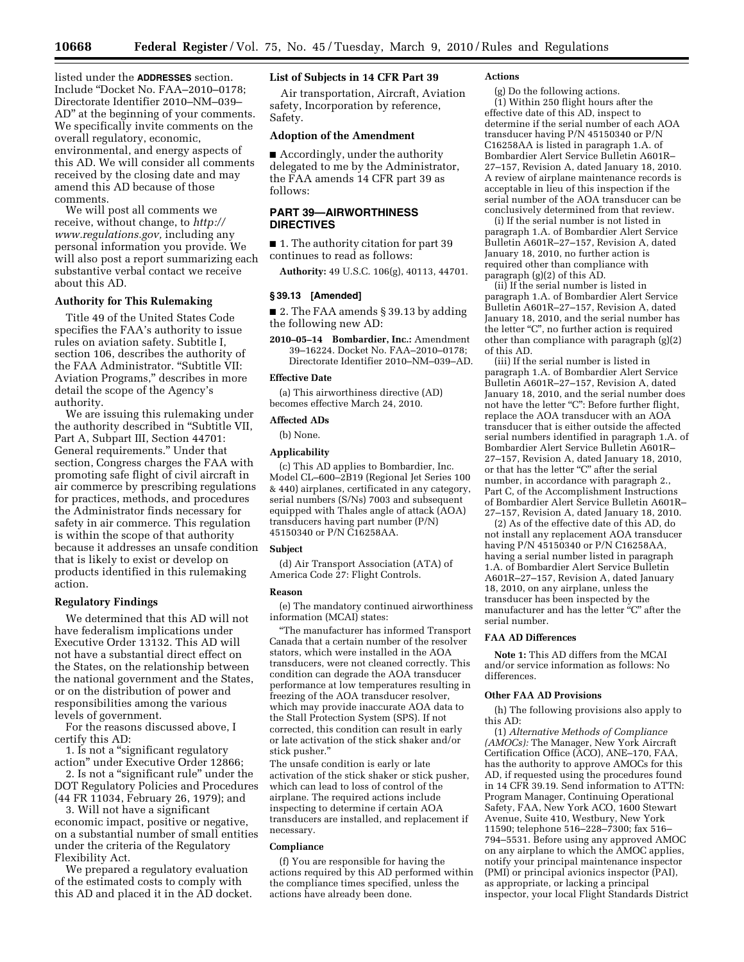**10668 Federal Register** / Vol. 75, No. 45 / Tuesday, March 9, 2010 / Rules and Regulations

listed under the **ADDRESSES** section. Include ''Docket No. FAA–2010–0178; Directorate Identifier 2010–NM–039– AD'' at the beginning of your comments. We specifically invite comments on the overall regulatory, economic, environmental, and energy aspects of this AD. We will consider all comments received by the closing date and may amend this AD because of those comments.

We will post all comments we receive, without change, to *http:// www.regulations.gov,* including any personal information you provide. We will also post a report summarizing each substantive verbal contact we receive about this AD.

# **Authority for This Rulemaking**

Title 49 of the United States Code specifies the FAA's authority to issue rules on aviation safety. Subtitle I, section 106, describes the authority of the FAA Administrator. ''Subtitle VII: Aviation Programs,'' describes in more detail the scope of the Agency's authority.

We are issuing this rulemaking under the authority described in ''Subtitle VII, Part A, Subpart III, Section 44701: General requirements.'' Under that section, Congress charges the FAA with promoting safe flight of civil aircraft in air commerce by prescribing regulations for practices, methods, and procedures the Administrator finds necessary for safety in air commerce. This regulation is within the scope of that authority because it addresses an unsafe condition that is likely to exist or develop on products identified in this rulemaking action.

### **Regulatory Findings**

We determined that this AD will not have federalism implications under Executive Order 13132. This AD will not have a substantial direct effect on the States, on the relationship between the national government and the States, or on the distribution of power and responsibilities among the various levels of government.

For the reasons discussed above, I certify this AD:

1. Is not a ''significant regulatory action'' under Executive Order 12866;

2. Is not a ''significant rule'' under the DOT Regulatory Policies and Procedures (44 FR 11034, February 26, 1979); and

3. Will not have a significant economic impact, positive or negative, on a substantial number of small entities under the criteria of the Regulatory Flexibility Act.

We prepared a regulatory evaluation of the estimated costs to comply with this AD and placed it in the AD docket.

### **List of Subjects in 14 CFR Part 39**

Air transportation, Aircraft, Aviation safety, Incorporation by reference, Safety.

### **Adoption of the Amendment**

■ Accordingly, under the authority delegated to me by the Administrator, the FAA amends 14 CFR part 39 as follows:

# **PART 39—AIRWORTHINESS DIRECTIVES**

■ 1. The authority citation for part 39 continues to read as follows:

**Authority:** 49 U.S.C. 106(g), 40113, 44701.

#### **§ 39.13 [Amended]**

■ 2. The FAA amends § 39.13 by adding the following new AD:

**2010–05–14 Bombardier, Inc.:** Amendment 39–16224. Docket No. FAA–2010–0178; Directorate Identifier 2010–NM–039–AD.

#### **Effective Date**

(a) This airworthiness directive (AD) becomes effective March 24, 2010.

# **Affected ADs**

(b) None.

# **Applicability**

(c) This AD applies to Bombardier, Inc. Model CL–600–2B19 (Regional Jet Series 100 & 440) airplanes, certificated in any category, serial numbers (S/Ns) 7003 and subsequent equipped with Thales angle of attack (AOA) transducers having part number (P/N) 45150340 or P/N C16258AA.

#### **Subject**

(d) Air Transport Association (ATA) of America Code 27: Flight Controls.

#### **Reason**

(e) The mandatory continued airworthiness information (MCAI) states:

''The manufacturer has informed Transport Canada that a certain number of the resolver stators, which were installed in the AOA transducers, were not cleaned correctly. This condition can degrade the AOA transducer performance at low temperatures resulting in freezing of the AOA transducer resolver, which may provide inaccurate AOA data to the Stall Protection System (SPS). If not corrected, this condition can result in early or late activation of the stick shaker and/or stick pusher.''

The unsafe condition is early or late activation of the stick shaker or stick pusher, which can lead to loss of control of the airplane. The required actions include inspecting to determine if certain AOA transducers are installed, and replacement if necessary.

# **Compliance**

(f) You are responsible for having the actions required by this AD performed within the compliance times specified, unless the actions have already been done.

#### **Actions**

(g) Do the following actions.  $(1)$  Within 250 flight hours after the effective date of this AD, inspect to determine if the serial number of each AOA transducer having P/N 45150340 or P/N C16258AA is listed in paragraph 1.A. of Bombardier Alert Service Bulletin A601R– 27–157, Revision A, dated January 18, 2010. A review of airplane maintenance records is acceptable in lieu of this inspection if the serial number of the AOA transducer can be conclusively determined from that review.

(i) If the serial number is not listed in paragraph 1.A. of Bombardier Alert Service Bulletin A601R–27–157, Revision A, dated January 18, 2010, no further action is required other than compliance with paragraph (g)(2) of this AD.

(ii) If the serial number is listed in paragraph 1.A. of Bombardier Alert Service Bulletin A601R–27–157, Revision A, dated January 18, 2010, and the serial number has the letter "C", no further action is required other than compliance with paragraph (g)(2) of this AD.

(iii) If the serial number is listed in paragraph 1.A. of Bombardier Alert Service Bulletin A601R–27–157, Revision A, dated January 18, 2010, and the serial number does not have the letter "C": Before further flight, replace the AOA transducer with an AOA transducer that is either outside the affected serial numbers identified in paragraph 1.A. of Bombardier Alert Service Bulletin A601R– 27–157, Revision A, dated January 18, 2010, or that has the letter "C" after the serial number, in accordance with paragraph 2., Part C, of the Accomplishment Instructions of Bombardier Alert Service Bulletin A601R– 27–157, Revision A, dated January 18, 2010.

(2) As of the effective date of this AD, do not install any replacement AOA transducer having P/N 45150340 or P/N C16258AA, having a serial number listed in paragraph 1.A. of Bombardier Alert Service Bulletin A601R–27–157, Revision A, dated January 18, 2010, on any airplane, unless the transducer has been inspected by the manufacturer and has the letter "C" after the serial number.

#### **FAA AD Differences**

**Note 1:** This AD differs from the MCAI and/or service information as follows: No differences.

### **Other FAA AD Provisions**

(h) The following provisions also apply to this AD:

(1) *Alternative Methods of Compliance (AMOCs):* The Manager, New York Aircraft Certification Office (ACO), ANE–170, FAA, has the authority to approve AMOCs for this AD, if requested using the procedures found in 14 CFR 39.19. Send information to ATTN: Program Manager, Continuing Operational Safety, FAA, New York ACO, 1600 Stewart Avenue, Suite 410, Westbury, New York 11590; telephone 516–228–7300; fax 516– 794–5531. Before using any approved AMOC on any airplane to which the AMOC applies, notify your principal maintenance inspector (PMI) or principal avionics inspector (PAI), as appropriate, or lacking a principal inspector, your local Flight Standards District